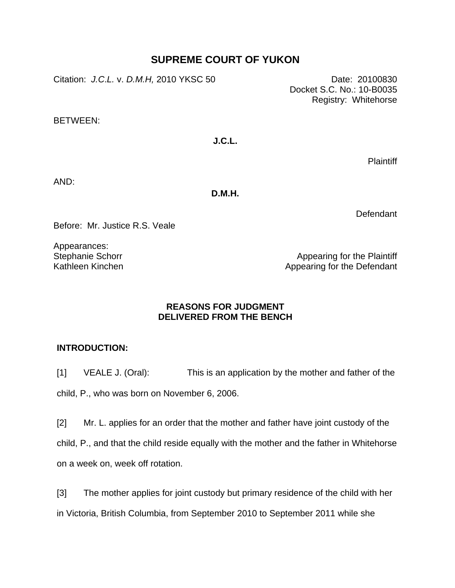# **SUPREME COURT OF YUKON**

Citation: *J.C*.*L.* v. *D.M.H,* 2010 YKSC 50 Date: 20100830

Docket S.C. No.: 10-B0035 Registry: Whitehorse

BETWEEN:

**J.C.L.** 

Plaintiff

AND:

**D.M.H.** 

**Defendant** 

Before: Mr. Justice R.S. Veale

Appearances: Stephanie Schorr Kathleen Kinchen

Appearing for the Plaintiff Appearing for the Defendant

## **REASONS FOR JUDGMENT DELIVERED FROM THE BENCH**

## **INTRODUCTION:**

[1] VEALE J. (Oral): This is an application by the mother and father of the child, P., who was born on November 6, 2006.

[2] Mr. L. applies for an order that the mother and father have joint custody of the child, P., and that the child reside equally with the mother and the father in Whitehorse on a week on, week off rotation.

[3] The mother applies for joint custody but primary residence of the child with her in Victoria, British Columbia, from September 2010 to September 2011 while she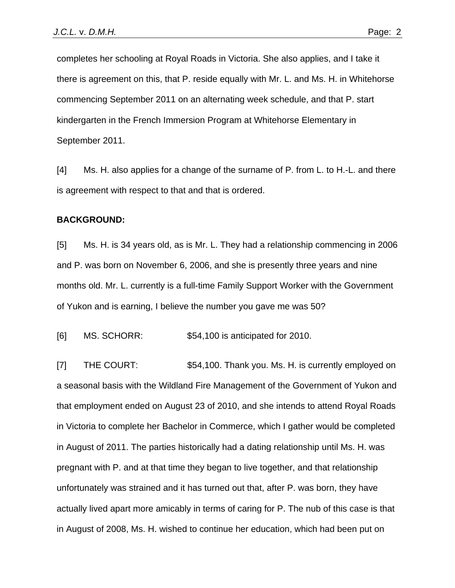completes her schooling at Royal Roads in Victoria. She also applies, and I take it there is agreement on this, that P. reside equally with Mr. L. and Ms. H. in Whitehorse commencing September 2011 on an alternating week schedule, and that P. start kindergarten in the French Immersion Program at Whitehorse Elementary in September 2011.

[4] Ms. H. also applies for a change of the surname of P. from L. to H.-L. and there is agreement with respect to that and that is ordered.

#### **BACKGROUND:**

[5] Ms. H. is 34 years old, as is Mr. L. They had a relationship commencing in 2006 and P. was born on November 6, 2006, and she is presently three years and nine months old. Mr. L. currently is a full-time Family Support Worker with the Government of Yukon and is earning, I believe the number you gave me was 50?

[6] MS. SCHORR: \$54,100 is anticipated for 2010.

[7] THE COURT:  $$54,100$ . Thank you. Ms. H. is currently employed on a seasonal basis with the Wildland Fire Management of the Government of Yukon and that employment ended on August 23 of 2010, and she intends to attend Royal Roads in Victoria to complete her Bachelor in Commerce, which I gather would be completed in August of 2011. The parties historically had a dating relationship until Ms. H. was pregnant with P. and at that time they began to live together, and that relationship unfortunately was strained and it has turned out that, after P. was born, they have actually lived apart more amicably in terms of caring for P. The nub of this case is that in August of 2008, Ms. H. wished to continue her education, which had been put on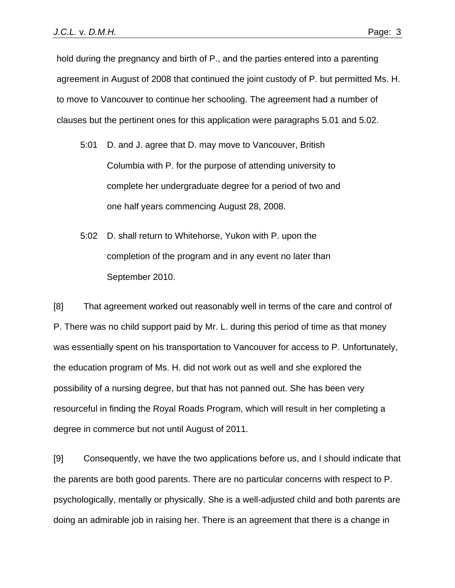hold during the pregnancy and birth of P., and the parties entered into a parenting agreement in August of 2008 that continued the joint custody of P. but permitted Ms. H. to move to Vancouver to continue her schooling. The agreement had a number of clauses but the pertinent ones for this application were paragraphs 5.01 and 5.02.

- 5:01 D. and J. agree that D. may move to Vancouver, British Columbia with P. for the purpose of attending university to complete her undergraduate degree for a period of two and one half years commencing August 28, 2008.
- 5:02 D. shall return to Whitehorse, Yukon with P. upon the completion of the program and in any event no later than September 2010.

[8] That agreement worked out reasonably well in terms of the care and control of P. There was no child support paid by Mr. L. during this period of time as that money was essentially spent on his transportation to Vancouver for access to P. Unfortunately, the education program of Ms. H. did not work out as well and she explored the possibility of a nursing degree, but that has not panned out. She has been very resourceful in finding the Royal Roads Program, which will result in her completing a degree in commerce but not until August of 2011.

[9] Consequently, we have the two applications before us, and I should indicate that the parents are both good parents. There are no particular concerns with respect to P. psychologically, mentally or physically. She is a well-adjusted child and both parents are doing an admirable job in raising her. There is an agreement that there is a change in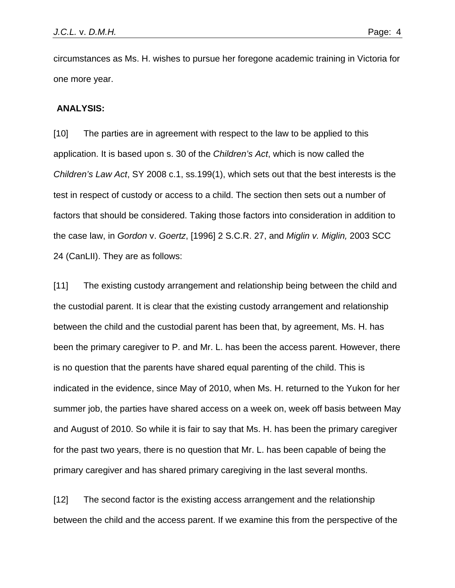circumstances as Ms. H. wishes to pursue her foregone academic training in Victoria for one more year.

#### **ANALYSIS:**

[10] The parties are in agreement with respect to the law to be applied to this application. It is based upon s. 30 of the *Children's Act*, which is now called the *Children's Law Act*, SY 2008 c.1, ss.199(1), which sets out that the best interests is the test in respect of custody or access to a child. The section then sets out a number of factors that should be considered. Taking those factors into consideration in addition to the case law, in *Gordon* v. *Goertz*, [1996] 2 S.C.R. 27, and *Miglin v. Miglin,* 2003 SCC 24 (CanLII). They are as follows:

[11] The existing custody arrangement and relationship being between the child and the custodial parent. It is clear that the existing custody arrangement and relationship between the child and the custodial parent has been that, by agreement, Ms. H. has been the primary caregiver to P. and Mr. L. has been the access parent. However, there is no question that the parents have shared equal parenting of the child. This is indicated in the evidence, since May of 2010, when Ms. H. returned to the Yukon for her summer job, the parties have shared access on a week on, week off basis between May and August of 2010. So while it is fair to say that Ms. H. has been the primary caregiver for the past two years, there is no question that Mr. L. has been capable of being the primary caregiver and has shared primary caregiving in the last several months.

[12] The second factor is the existing access arrangement and the relationship between the child and the access parent. If we examine this from the perspective of the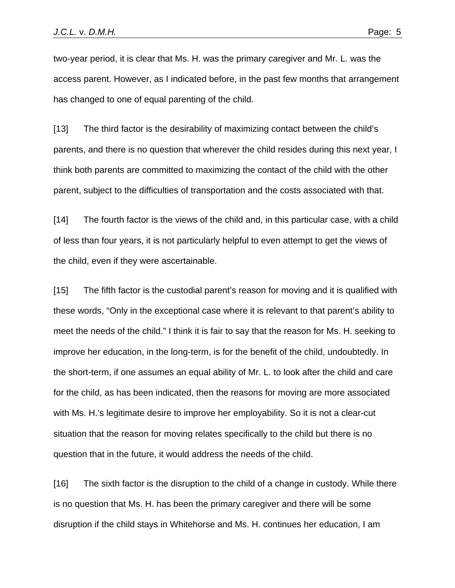two-year period, it is clear that Ms. H. was the primary caregiver and Mr. L. was the access parent. However, as I indicated before, in the past few months that arrangement has changed to one of equal parenting of the child.

[13] The third factor is the desirability of maximizing contact between the child's parents, and there is no question that wherever the child resides during this next year, I think both parents are committed to maximizing the contact of the child with the other parent, subject to the difficulties of transportation and the costs associated with that.

[14] The fourth factor is the views of the child and, in this particular case, with a child of less than four years, it is not particularly helpful to even attempt to get the views of the child, even if they were ascertainable.

[15] The fifth factor is the custodial parent's reason for moving and it is qualified with these words, "Only in the exceptional case where it is relevant to that parent's ability to meet the needs of the child." I think it is fair to say that the reason for Ms. H. seeking to improve her education, in the long-term, is for the benefit of the child, undoubtedly. In the short-term, if one assumes an equal ability of Mr. L. to look after the child and care for the child, as has been indicated, then the reasons for moving are more associated with Ms. H.'s legitimate desire to improve her employability. So it is not a clear-cut situation that the reason for moving relates specifically to the child but there is no question that in the future, it would address the needs of the child.

[16] The sixth factor is the disruption to the child of a change in custody. While there is no question that Ms. H. has been the primary caregiver and there will be some disruption if the child stays in Whitehorse and Ms. H. continues her education, I am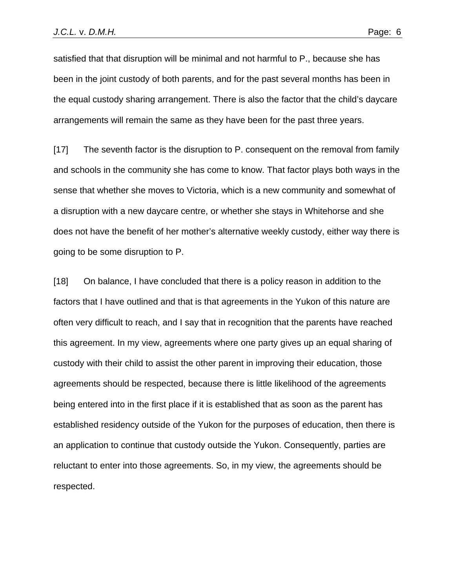satisfied that that disruption will be minimal and not harmful to P., because she has been in the joint custody of both parents, and for the past several months has been in the equal custody sharing arrangement. There is also the factor that the child's daycare arrangements will remain the same as they have been for the past three years.

[17] The seventh factor is the disruption to P. consequent on the removal from family and schools in the community she has come to know. That factor plays both ways in the sense that whether she moves to Victoria, which is a new community and somewhat of a disruption with a new daycare centre, or whether she stays in Whitehorse and she does not have the benefit of her mother's alternative weekly custody, either way there is going to be some disruption to P.

[18] On balance, I have concluded that there is a policy reason in addition to the factors that I have outlined and that is that agreements in the Yukon of this nature are often very difficult to reach, and I say that in recognition that the parents have reached this agreement. In my view, agreements where one party gives up an equal sharing of custody with their child to assist the other parent in improving their education, those agreements should be respected, because there is little likelihood of the agreements being entered into in the first place if it is established that as soon as the parent has established residency outside of the Yukon for the purposes of education, then there is an application to continue that custody outside the Yukon. Consequently, parties are reluctant to enter into those agreements. So, in my view, the agreements should be respected.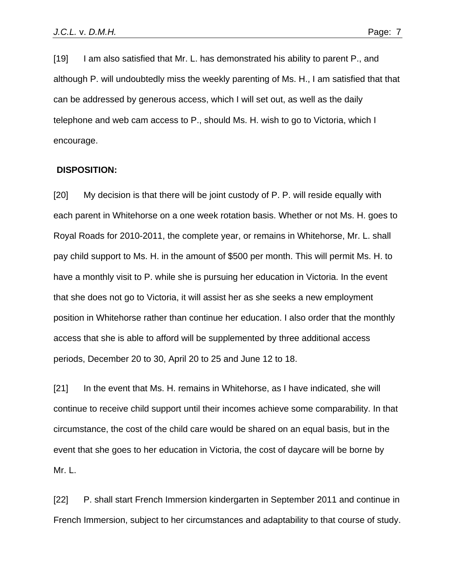[19] I am also satisfied that Mr. L. has demonstrated his ability to parent P., and although P. will undoubtedly miss the weekly parenting of Ms. H., I am satisfied that that can be addressed by generous access, which I will set out, as well as the daily telephone and web cam access to P., should Ms. H. wish to go to Victoria, which I encourage.

### **DISPOSITION:**

[20] My decision is that there will be joint custody of P. P. will reside equally with each parent in Whitehorse on a one week rotation basis. Whether or not Ms. H. goes to Royal Roads for 2010-2011, the complete year, or remains in Whitehorse, Mr. L. shall pay child support to Ms. H. in the amount of \$500 per month. This will permit Ms. H. to have a monthly visit to P. while she is pursuing her education in Victoria. In the event that she does not go to Victoria, it will assist her as she seeks a new employment position in Whitehorse rather than continue her education. I also order that the monthly access that she is able to afford will be supplemented by three additional access periods, December 20 to 30, April 20 to 25 and June 12 to 18.

[21] In the event that Ms. H. remains in Whitehorse, as I have indicated, she will continue to receive child support until their incomes achieve some comparability. In that circumstance, the cost of the child care would be shared on an equal basis, but in the event that she goes to her education in Victoria, the cost of daycare will be borne by Mr. L.

[22] P. shall start French Immersion kindergarten in September 2011 and continue in French Immersion, subject to her circumstances and adaptability to that course of study.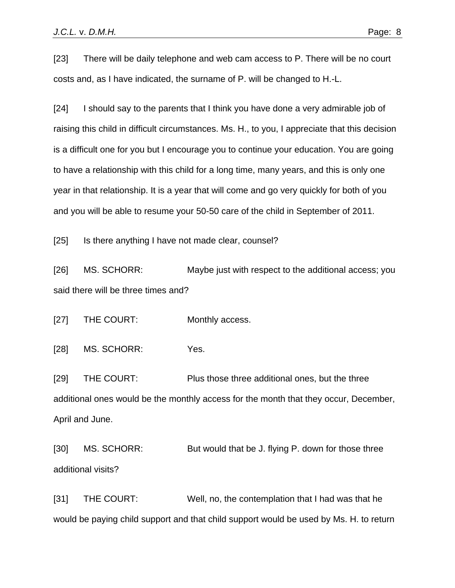[23] There will be daily telephone and web cam access to P. There will be no court costs and, as I have indicated, the surname of P. will be changed to H.-L.

[24] I should say to the parents that I think you have done a very admirable job of raising this child in difficult circumstances. Ms. H., to you, I appreciate that this decision is a difficult one for you but I encourage you to continue your education. You are going to have a relationship with this child for a long time, many years, and this is only one year in that relationship. It is a year that will come and go very quickly for both of you and you will be able to resume your 50-50 care of the child in September of 2011.

[25] Is there anything I have not made clear, counsel?

[26] MS. SCHORR: Maybe just with respect to the additional access; you said there will be three times and?

[27] THE COURT: Monthly access.

[28] MS. SCHORR: Yes.

[29] THE COURT: Plus those three additional ones, but the three additional ones would be the monthly access for the month that they occur, December, April and June.

[30] MS. SCHORR: But would that be J. flying P. down for those three additional visits?

[31] THE COURT: Well, no, the contemplation that I had was that he would be paying child support and that child support would be used by Ms. H. to return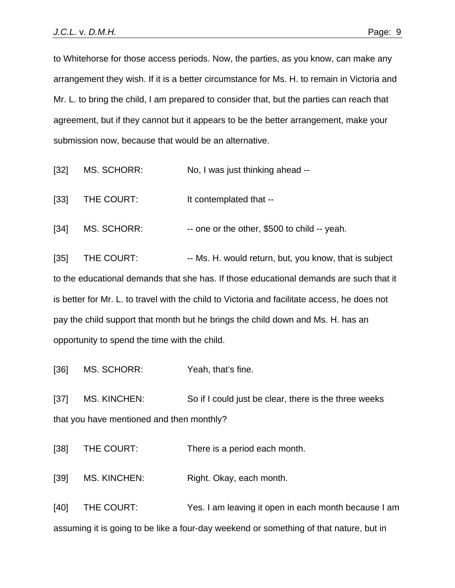to Whitehorse for those access periods. Now, the parties, as you know, can make any arrangement they wish. If it is a better circumstance for Ms. H. to remain in Victoria and Mr. L. to bring the child, I am prepared to consider that, but the parties can reach that agreement, but if they cannot but it appears to be the better arrangement, make your submission now, because that would be an alternative.

- [32] MS. SCHORR: No, I was just thinking ahead --
- [33] THE COURT: It contemplated that --

[34] MS. SCHORR: -- one or the other, \$500 to child -- yeah.

[35] THE COURT: -- Ms. H. would return, but, you know, that is subject to the educational demands that she has. If those educational demands are such that it is better for Mr. L. to travel with the child to Victoria and facilitate access, he does not pay the child support that month but he brings the child down and Ms. H. has an opportunity to spend the time with the child.

[36] MS. SCHORR: Yeah, that's fine.

[37] MS. KINCHEN: So if I could just be clear, there is the three weeks that you have mentioned and then monthly?

[38] THE COURT: There is a period each month.

[39] MS. KINCHEN: Right. Okay, each month.

[40] THE COURT: Yes. I am leaving it open in each month because I am assuming it is going to be like a four-day weekend or something of that nature, but in